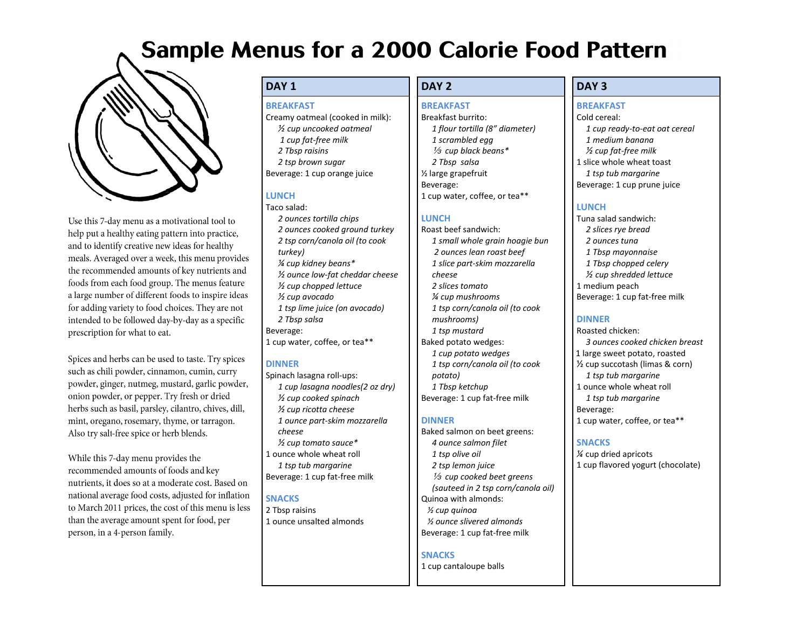# **Sample Menus for a 2000 Calorie Food Pattern**



Use this 7-day menu as a motivational tool to help put a healthy eating pattern into practice, and to identify creative new ideas for healthy meals. Averaged over a week, this menu provides the recommended amounts of key nutrients and foods from each food group. The menus feature a large number of different foods to inspire ideas for adding variety to food choices. They are not intended to be followed day-by-day as a specific prescription for what to eat.

Spices and herbs can be used to taste. Try spices such as chili powder, cinnamon, cumin, curry powder, ginger, nutmeg, mustard, garlic powder, onion powder, or pepper. Try fresh or dried herbs such as basil, parsley, cilantro, chives, dill, mint, oregano, rosemary, thyme, or tarragon. Also try salt-free spice or herb blends.

While this 7-day menu provides the recommended amounts of foods and key nutrients, it does so at a moderate cost. Based on national average food costs, adjusted for inflation to March 2011 prices, the cost of this menu is less than the average amount spent for food, per person, in a 4-person family.

# **DAY 1 DAY 2 DAY 3**

### **BREAKFAST**

Creamy oatmeal (cooked in milk):

- *½ cup uncooked oatmeal*
- *1 cup fat-free milk 2 Tbsp raisins*
- *2 tsp brown sugar*
- Beverage: 1 cup orange juice

# **LUNCH**

Taco salad: *2 ounces tortilla chips 2 ounces cooked ground turkey 2 tsp corn/canola oil (to cook turkey) ¼ cup kidney beans\* ½ ounce low-fat cheddar cheese ½ cup chopped lettuce ½ cup avocado 1 tsp lime juice (on avocado) 2 Tbsp salsa* Beverage: 1 cup water, coffee, or tea\*\*

# **DINNER**

Spinach lasagna roll-ups: *1 cup lasagna noodles(2 oz dry) ½ cup cooked spinach ½ cup ricotta cheese 1 ounce part-skim mozzarella cheese ½ cup tomato sauce\** 1 ounce whole wheat roll *1 tsp tub margarine* Beverage: 1 cup fat-free milk

## **SNACKS**

2 Tbsp raisins 1 ounce unsalted almonds

### **BREAKFAST**

Breakfast burrito: *1 flour tortilla (8" diameter) 1 scrambled egg* a *cup black beans\* 2 Tbsp salsa* ½ large grapefruit Beverage: 1 cup water, coffee, or tea\*\*

# **LUNCH**

Roast beef sandwich: *1 small whole grain hoagie bun 2 ounces lean roast beef 1 slice part-skim mozzarella cheese 2 slices tomato ¼ cup mushrooms 1 tsp corn/canola oil (to cook mushrooms) 1 tsp mustard* Baked potato wedges: *1 cup potato wedges 1 tsp corn/canola oil (to cook potato) 1 Tbsp ketchup* Beverage: 1 cup fat-free milk

# **DINNER**

Baked salmon on beet greens: *4 ounce salmon filet 1 tsp olive oil 2 tsp lemon juice* <sup>1/3</sup> cup cooked beet greens *(sauteed in 2 tsp corn/canola oil)* Quinoa with almonds: *½ cup quinoa ½ ounce slivered almonds* Beverage: 1 cup fat-free milk

## **SNACKS**

1 cup cantaloupe balls

# **BREAKFAST**

Cold cereal: *1 cup ready-to-eat oat cereal 1 medium banana ½ cup fat-free milk* 1 slice whole wheat toast *1 tsp tub margarine* Beverage: 1 cup prune juice

# **LUNCH**

Tuna salad sandwich: *2 slices rye bread 2 ounces tuna 1 Tbsp mayonnaise 1 Tbsp chopped celery ½ cup shredded lettuce* 1 medium peach Beverage: 1 cup fat-free milk

# **DINNER**

Roasted chicken: *3 ounces cooked chicken breast* 1 large sweet potato, roasted ½ cup succotash (limas & corn) *1 tsp tub margarine* 1 ounce whole wheat roll *1 tsp tub margarine* Beverage: 1 cup water, coffee, or tea\*\*

# **SNACKS**

*¼* cup dried apricots 1 cup flavored yogurt (chocolate)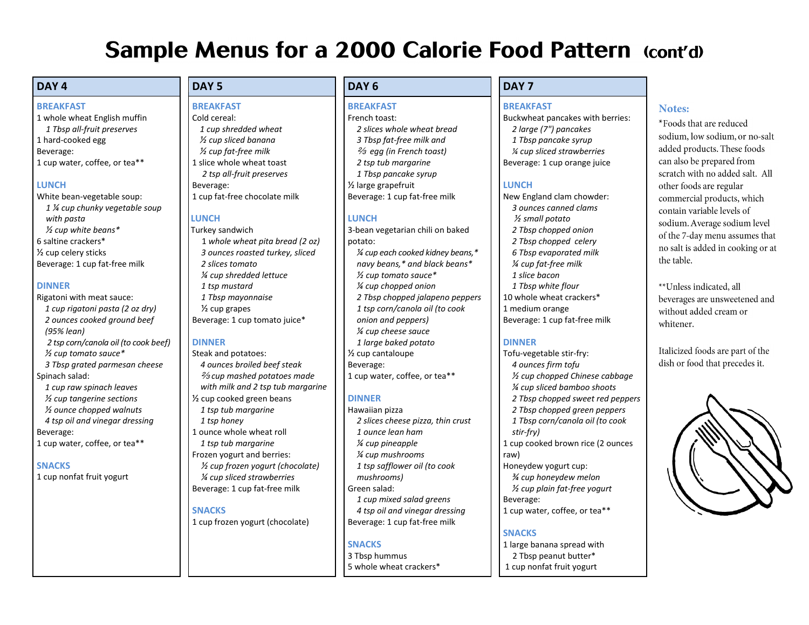# **Sample Menus for a 2000 Calorie Food Pattern (cont'd)**

# **DAY 4 DAY 5 DAY 6 DAY 7**

### **BREAKFAST**

1 whole wheat English muffin *1 Tbsp all-fruit preserves* 1 hard-cooked egg Beverage: 1 cup water, coffee, or tea\*\*

# **LUNCH**

White bean-vegetable soup: *1 ¼ cup chunky vegetable soup with pasta ½ cup white beans\**  6 saltine crackers\* ½ cup celery sticks Beverage: 1 cup fat-free milk

## **DINNER**

- Rigatoni with meat sauce: *1 cup rigatoni pasta (2 oz dry) 2 ounces cooked ground beef (95% lean) 2 tsp corn/canola oil (to cook beef) ½ cup tomato sauce\* 3 Tbsp grated parmesan cheese* Spinach salad:
- *1 cup raw spinach leaves ½ cup tangerine sections ½ ounce chopped walnuts 4 tsp oil and vinegar dressing* Beverage: 1 cup water, coffee, or tea\*\*

**SNACKS** 1 cup nonfat fruit yogurt

# **BREAKFAST**

# Cold cereal:

*1 cup shredded wheat ½ cup sliced banana ½ cup fat-free milk* 1 slice whole wheat toast *2 tsp all-fruit preserves* Beverage: 1 cup fat-free chocolate milk

# **LUNCH**

Turkey sandwich 1 *whole wheat pita bread (2 oz) 3 ounces roasted turkey, sliced 2 slices tomato ¼ cup shredded lettuce 1 tsp mustard 1 Tbsp mayonnaise* ½ cup grapes Beverage: 1 cup tomato juice\*

## **DINNER**

- Steak and potatoes: *4 ounces broiled beef steak* b *cup mashed potatoes made with milk and 2 tsp tub margarine* ½ cup cooked green beans *1 tsp tub margarine 1 tsp honey* 1 ounce whole wheat roll *1 tsp tub margarine*
- Frozen yogurt and berries: *½ cup frozen yogurt (chocolate) ¼ cup sliced strawberries*  Beverage: 1 cup fat-free milk

# **SNACKS**

1 cup frozen yogurt (chocolate)

# **BREAKFAST**

French toast: *2 slices whole wheat bread 3 Tbsp fat-free milk and* b *egg (in French toast) 2 tsp tub margarine 1 Tbsp pancake syrup* ½ large grapefruit Beverage: 1 cup fat-free milk

# **LUNCH**

3-bean vegetarian chili on baked potato: *¼ cup each cooked kidney beans,\* navy beans,\* and black beans\* ½ cup tomato sauce\* ¼ cup chopped onion 2 Tbsp chopped jalapeno peppers 1 tsp corn/canola oil (to cook onion and peppers) ¼ cup cheese sauce 1 large baked potato* ½ cup cantaloupe Beverage:

# **DINNER**

Hawaiian pizza *2 slices cheese pizza, thin crust 1 ounce lean ham ¼ cup pineapple ¼ cup mushrooms 1 tsp safflower oil (to cook mushrooms)* Green salad: *1 cup mixed salad greens 4 tsp oil and vinegar dressing* Beverage: 1 cup fat-free milk

1 cup water, coffee, or tea\*\*

# **SNACKS**

3 Tbsp hummus 5 whole wheat crackers\*

# **BREAKFAST**

Buckwheat pancakes with berries: *2 large (7") pancakes 1 Tbsp pancake syrup ¼ cup sliced strawberries* Beverage: 1 cup orange juice

# **LUNCH**

New England clam chowder: *3 ounces canned clams ½ small potato 2 Tbsp chopped onion 2 Tbsp chopped celery 6 Tbsp evaporated milk ¼ cup fat-free milk 1 slice bacon 1 Tbsp white flour* 10 whole wheat crackers\* 1 medium orange Beverage: 1 cup fat-free milk

# **DINNER**

Tofu-vegetable stir-fry: *4 ounces firm tofu ½ cup chopped Chinese cabbage ¼ cup sliced bamboo shoots 2 Tbsp chopped sweet red peppers 2 Tbsp chopped green peppers 1 Tbsp corn/canola oil (to cook stir-fry)* 1 cup cooked brown rice (2 ounces raw) Honeydew yogurt cup: *¾ cup honeydew melon ½ cup plain fat-free yogurt* Beverage: 1 cup water, coffee, or tea\*\*

# **SNACKS**

1 large banana spread with 2 Tbsp peanut butter\* 1 cup nonfat fruit yogurt

# Notes:

\*Foods that are reduced sodium, low sodium, or no-salt added products. These foods can also be prepared from scratch with no added salt. All other foods are regular commercial products, which contain variable levels of sodium. Average sodium level of the 7-day menu assumes that no salt is added in cooking or at the table.

\*\*Unless indicated, all beverages are unsweetened and without added cream or whitener.

Italicized foods are part of the dish or food that precedes it.